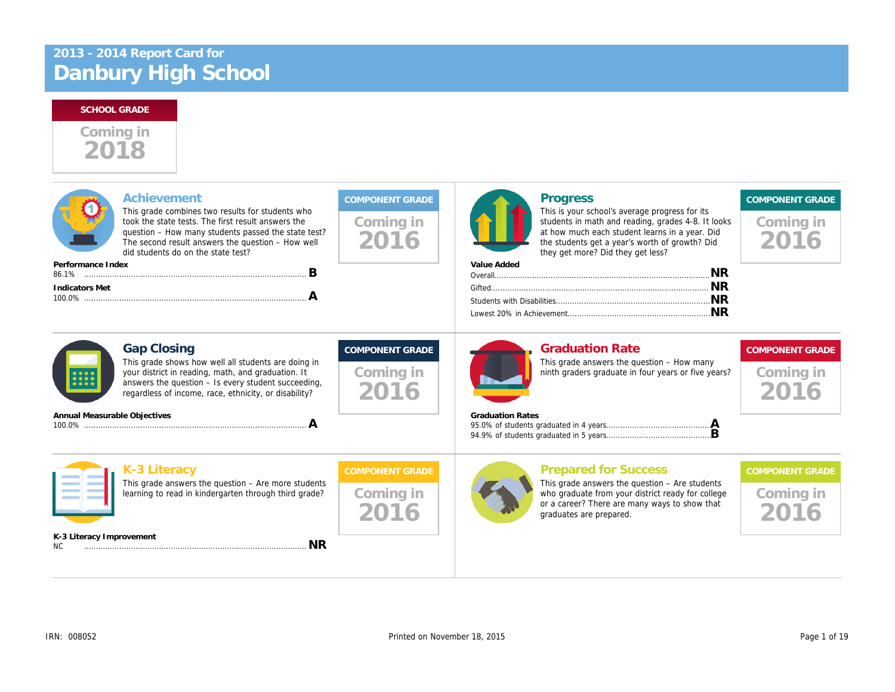# 2018 Coming in

| Achievement<br>Performance Index | This grade combines two results for students who<br>took the state tests. The first result answers the<br>question - How many students passed the state test?<br>The second result answers the question - How well<br>did students do on the state test?<br>в | Coming in<br>2016                           | <b>Progress</b><br>This is your school's average progress f<br>students in math and reading, grades 4-<br>at how much each student learns in a ye<br>the students get a year's worth of growtl<br>they get more? Did they get less?<br>Value Added |
|----------------------------------|---------------------------------------------------------------------------------------------------------------------------------------------------------------------------------------------------------------------------------------------------------------|---------------------------------------------|----------------------------------------------------------------------------------------------------------------------------------------------------------------------------------------------------------------------------------------------------|
| <b>Indicators Met</b>            | Α                                                                                                                                                                                                                                                             |                                             |                                                                                                                                                                                                                                                    |
| <b>Gap Closing</b>               | This grade shows how well all students are doing in<br>your district in reading, math, and graduation. It<br>answers the question - Is every student succeeding,<br>regardless of income, race, ethnicity, or disability?                                     | <b>COMPONENT GRADE</b><br>Coming in<br>2016 | <b>Graduation Rate</b><br>This grade answers the question - How<br>ninth graders graduate in four years or f                                                                                                                                       |
| Annual Measurable Objectives     | A                                                                                                                                                                                                                                                             |                                             | <b>Graduation Rates</b>                                                                                                                                                                                                                            |
| K-3 Literacy                     | This grade answers the question $-$ Are more students<br>learning to read in kindergarten through third grade?                                                                                                                                                | <b>COMPONENT GRADE</b><br>Coming in<br>2016 | <b>Prepared for Success</b><br>This grade answers the question $-$ Are $s$<br>who graduate from your district ready fo<br>or a career? There are many ways to sh<br>graduates are prepared.                                                        |
| K-3 Literacy Improvement<br>NC.  | <b>NR</b>                                                                                                                                                                                                                                                     |                                             |                                                                                                                                                                                                                                                    |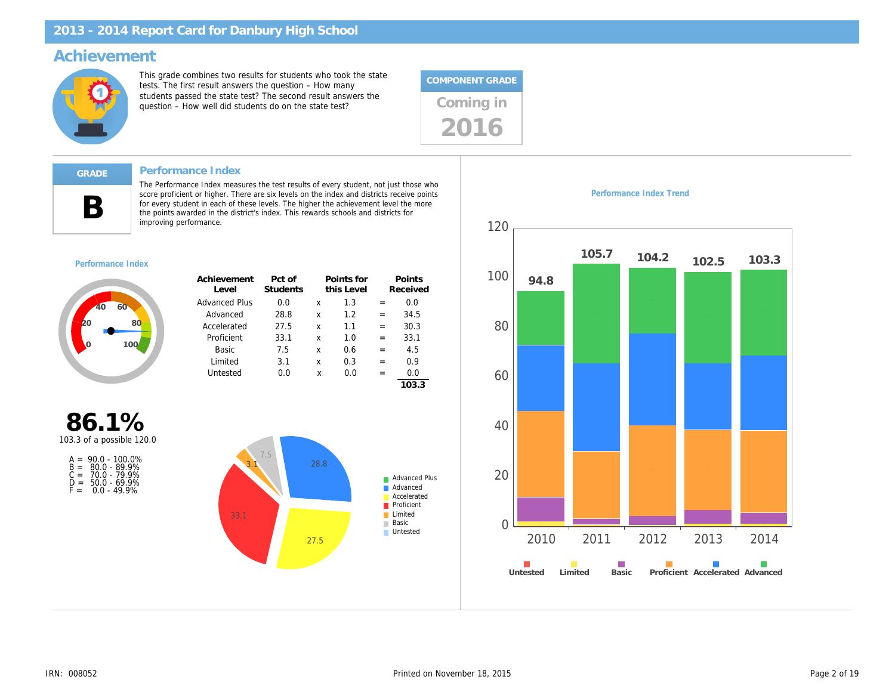### Achievement

This grade combines two results for students who took the state tests. The first result answers the question – How many students passed the state test? The second result answers the students passed the state test? The second result answers the<br>question – How well did students do on the state test? Coming in



#### Performance Index

B

The Performance Index measures the test results of every student, not just those who score proficient or higher. There are six levels on the index and districts receive points for every student in each of these levels. The higher the achievement level the more the points awarded in the district's index. This rewards schools and districts for improving performance.

#### Performance Index

| Achievement<br>Level | Pct of<br>Students |   | Points for<br>this Level |   | Points<br>Received |
|----------------------|--------------------|---|--------------------------|---|--------------------|
| <b>Advanced Plus</b> | 0.0                | x | 1.3                      |   | 0.O                |
| Advanced             | 28.8               | x | 1.2                      |   | 34.5               |
| Accelerated          | 27.5               | x | 1.1                      | = | 30.3               |
| Proficient           | 33.1               | x | 1.0                      | = | 33.1               |
| Basic                | 7.5                | x | 0.6                      | = | 4.5                |
| Limited              | 3.1                | x | 0.3                      | = | 0.9                |
| Untested             | 0.0                | x | 0.0                      |   | 0.0                |
|                      |                    |   |                          |   |                    |

86.1% 103.3 of a possible 120.0

|       | $A = 90.0 - 100.0\%$ |
|-------|----------------------|
|       | $B = 80.0 - 89.9%$   |
| $C =$ | 70.0 - 79.9%         |
| D =   | $50.0 - 69.9%$       |
| F =   | $0.0 - 49.9%$        |

Performance Index Trend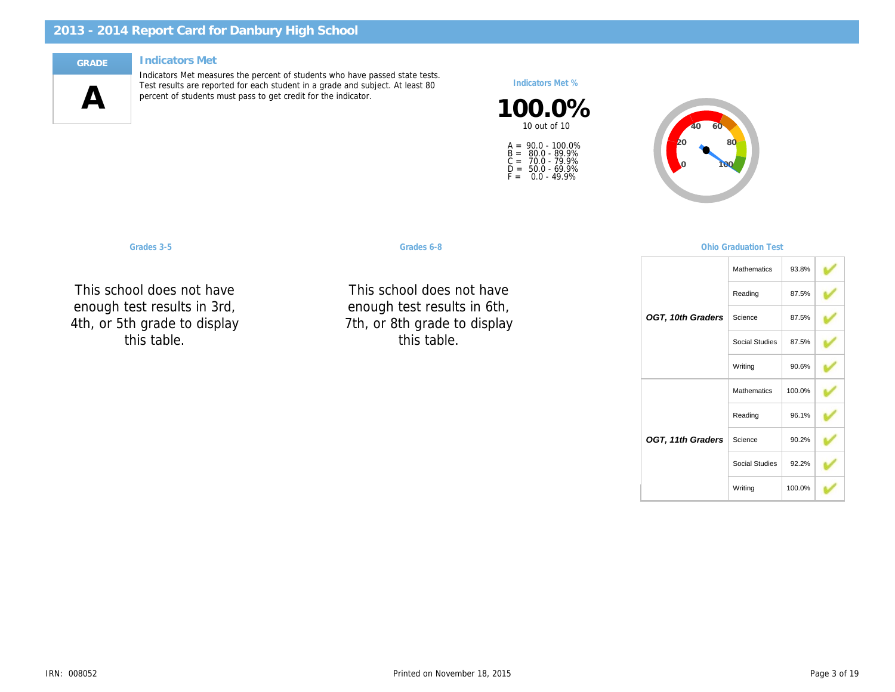#### Indicators Met

 $\mathbf{A}$ 

Indicators Met measures the percent of students who have passed state tests. Test results are reported for each student in a grade and subject. At least 80 percent of students must pass to get credit for the indicator.

Indicators Met %

100.0% 10 out of 10

A =<br>B =<br>C =<br>D =<br>F = 90.0 - 100.0% 80.0 - 89.9% 70.0 - 79.9% 50.0 - 69.9% 0.0 - 49.9%

This school do showg. luul ( toot ro $\epsilon$ Reading 4th, or 5th grade to display This school does not have d+ enough test results in 3rd, this table.

Grades 3-5 Graduation Communication Communication Communication Communication Test of Communication Test of Co

This school do 9.10ag וטטו י toot ro $\epsilon$  $\ddotsc$ 7th, or 8th grade to display NC NC This school does not have  $H<sub>c</sub>$  in enough test results in 6th, this table.

OGT, 10th 0

OGT, 11th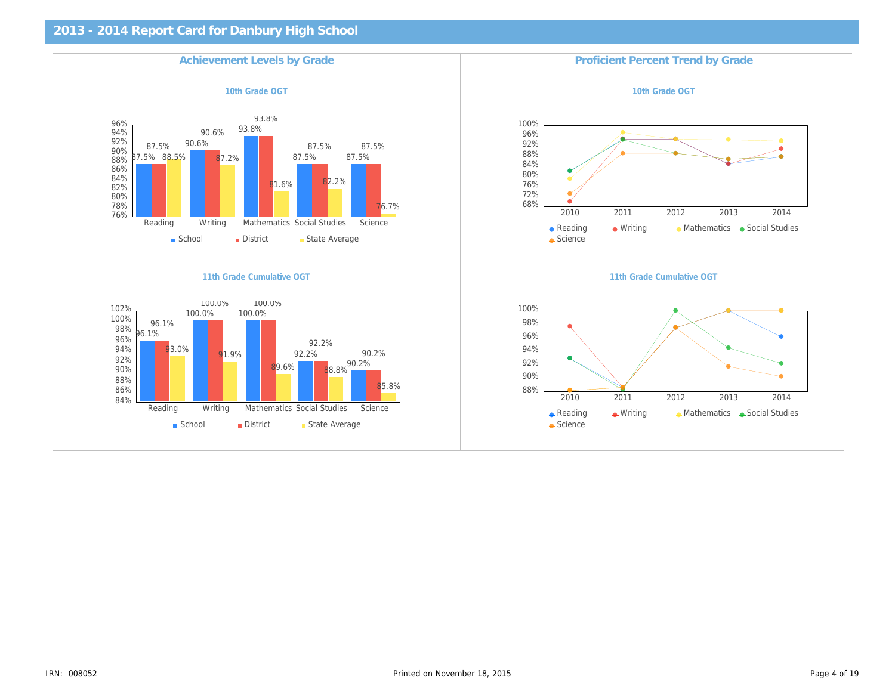| <b>Achievement Levels by Grade</b> | <b>Proficient Percent Trend I</b> |
|------------------------------------|-----------------------------------|
| 10th Grade OGT                     | 10th Grade OG                     |
|                                    |                                   |
|                                    |                                   |
|                                    |                                   |
|                                    |                                   |
|                                    |                                   |
|                                    |                                   |
|                                    |                                   |
| 11th Grade Cumulative OGT          | 11th Grade Cumulativ              |
|                                    |                                   |
|                                    |                                   |
|                                    |                                   |
|                                    |                                   |
|                                    |                                   |
|                                    |                                   |
|                                    |                                   |
|                                    |                                   |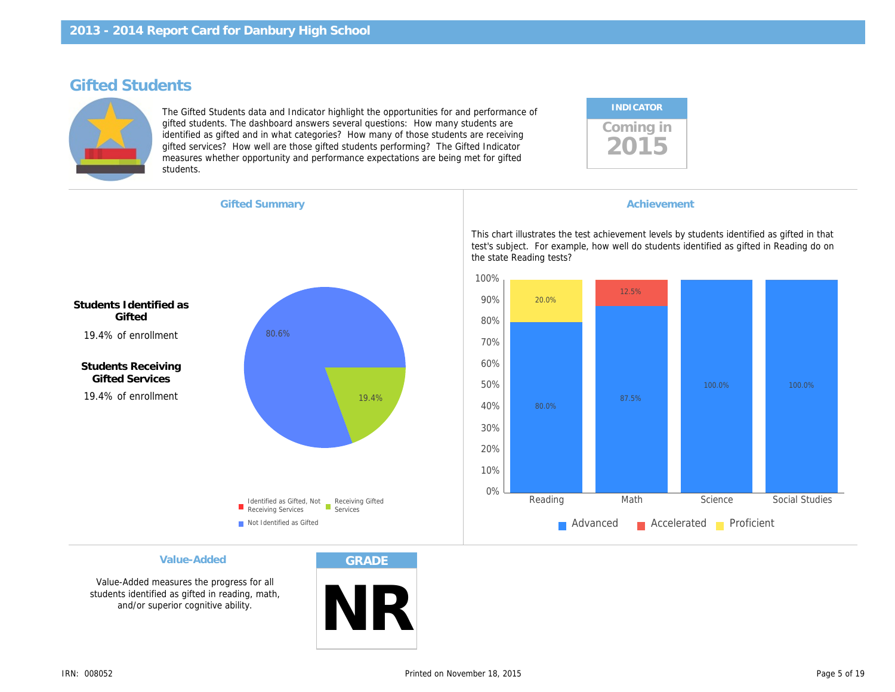### Gifted Students

The Gifted Students data and Indicator highlight the opportunities for and performance of gifted students. The dashboard answers several questions: How many students are identified as gifted and in what categories? How many of those students are receiving gifted services? How well are those gifted students performing? The Gifted Indicator measures whether opportunity and performance expectations are being met for gifted students.

| <b>INDICATOR</b> |  |
|------------------|--|
| Coming in        |  |

| <b>Gifted Summary</b> |
|-----------------------|
|-----------------------|

**Achievement** 

This chart illustrates the test achievement levels by s test's subject. For example, how well do students identified the state Reading tests?

Students Identified as **Gifted** 19.4% of enrollment

Students Receiving Gifted Services 19.4% of enrollment

Value-Added

Value-Added measures the progress for all students identified as gifted in reading, math, and/or superior cognitive ability.

GRADE

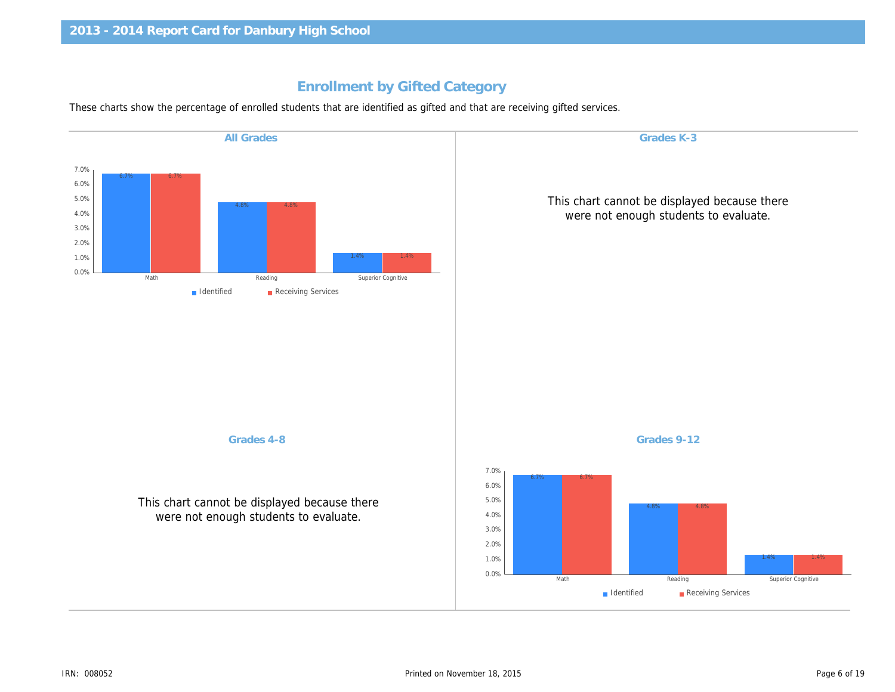### Enrollment by Gifted Category

These charts show the percentage of enrolled students that are identified as gifted and that are receiving gifted services.

| <b>All Grades</b>                                                                     | Grades K-3                                            |
|---------------------------------------------------------------------------------------|-------------------------------------------------------|
|                                                                                       |                                                       |
|                                                                                       | This chart cannot be displa<br>were not enough studer |
|                                                                                       |                                                       |
|                                                                                       |                                                       |
|                                                                                       |                                                       |
|                                                                                       |                                                       |
| Grades 4-8                                                                            | Grades 9-12                                           |
| This chart cannot be displayed because there<br>were not enough students to evaluate. |                                                       |
|                                                                                       |                                                       |
|                                                                                       |                                                       |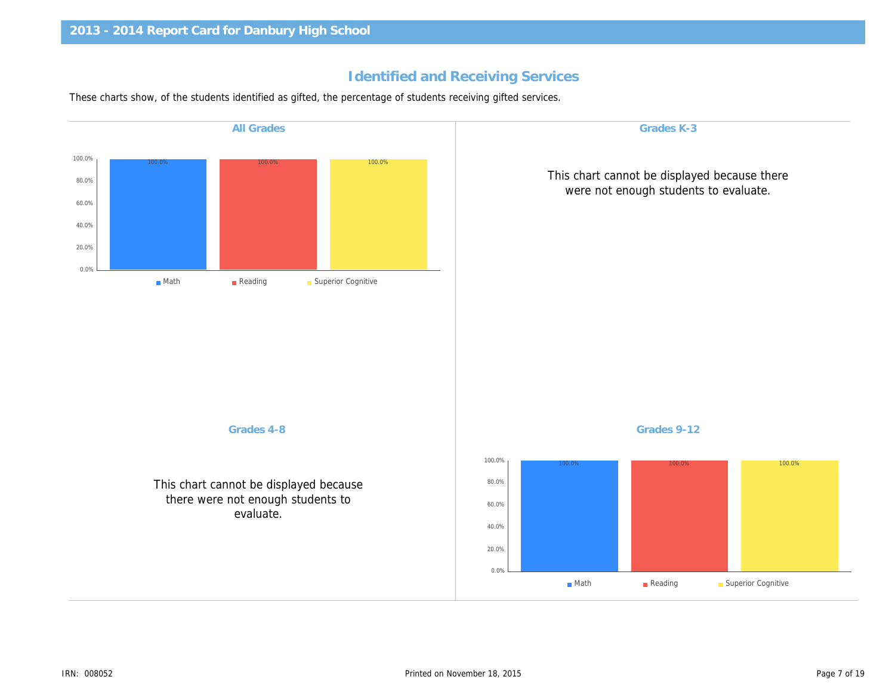### Identified and Receiving Services

These charts show, of the students identified as gifted, the percentage of students receiving gifted services.

| <b>All Grades</b>                                                                        | Grades K-3                                            |
|------------------------------------------------------------------------------------------|-------------------------------------------------------|
|                                                                                          | This chart cannot be displa<br>were not enough studer |
|                                                                                          |                                                       |
|                                                                                          |                                                       |
|                                                                                          |                                                       |
| Grades 4-8                                                                               | Grades 9-12                                           |
| This chart cannot be displayed because<br>there were not enough students to<br>evaluate. |                                                       |
|                                                                                          |                                                       |
|                                                                                          |                                                       |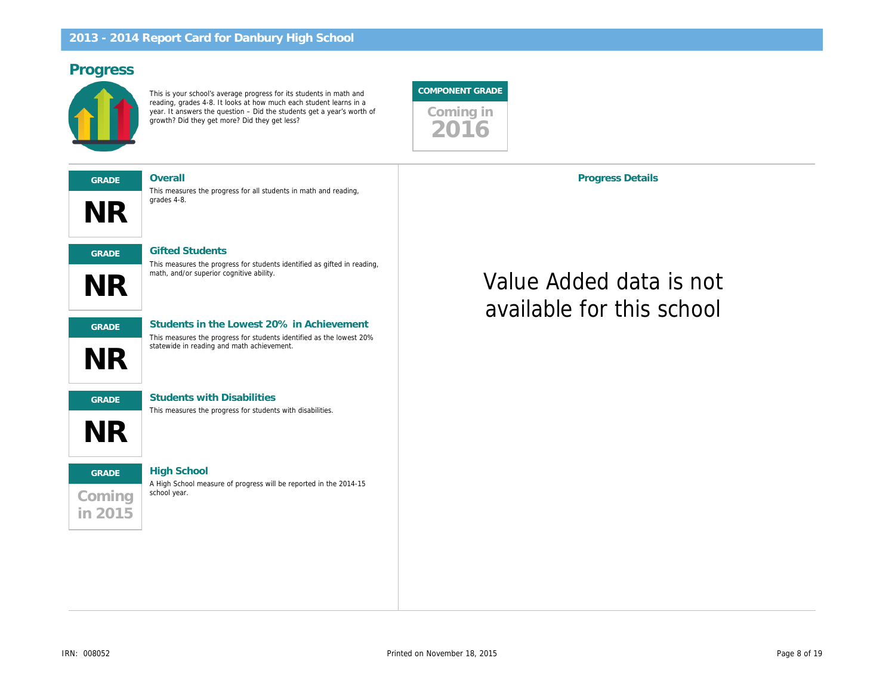### Progress

This is your school's average progress for its students in math and reading, grades 4-8. It looks at how much each student learns in a year. It answers the question – Did the students get a year's worth of growth? Did they get more? Did they get less?





math, and/or superior cognitive ability.

This measures the progress for all students in math and reading, grades 4-8.

This measures the progress for students identified as gifted in reading,



GRADE Students in the Lowest 20% in Achievement This measures the progress for students identified as the lowest 20% statewide in reading and math achievement.



NR

GRADE Students with Disabilities

This measures the progress for students with disabilities.

# **Coming** in 2015 GRADE High School

A High School measure of progress will be reported in the 2014-15 school year.

Progress Details

# Value Added data is available for this sch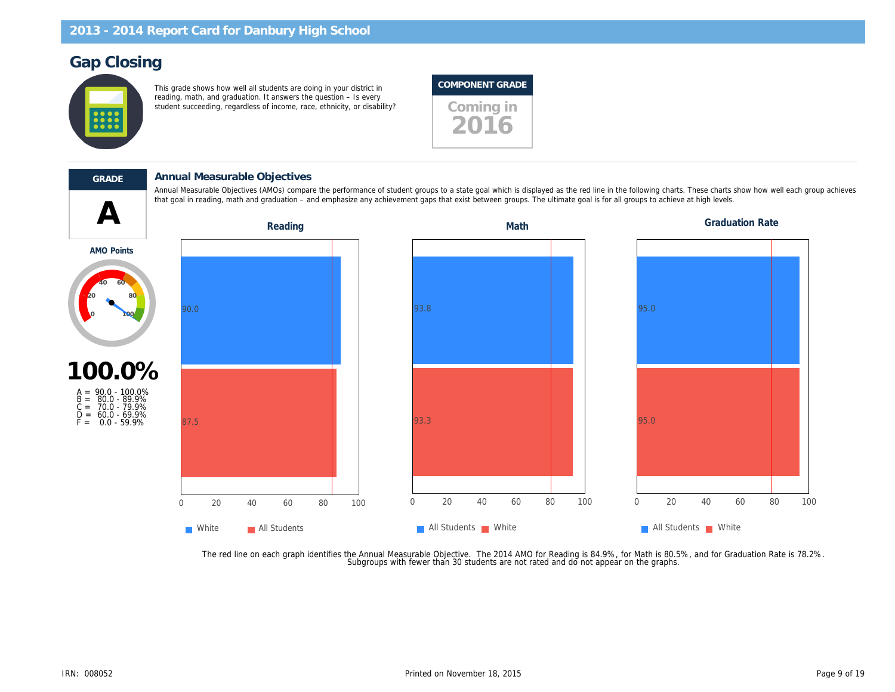### Gap Closing

This grade shows how well all students are doing in your district in reading, math, and graduation. It answers the question – Is every student succeeding, regardless of income, race, ethnicity, or disability? Coming in

### COMPONENT GRADE



 $\blacktriangle$ 

#### GRADE Annual Measurable Objectives

Annual Measurable Objectives (AMOs) compare the performance of student groups to a state goal which is displayed as the red line in the following charts. T that goal in reading, math and graduation – and emphasize any achievement gaps that exist between groups. The ultimate goal is for all groups to achieve at

Reading **Math** Graduation Reading Math Graduation Math

AMO Points



 $F = 0.0 - 59.9\%$ 

The red line on each graph identifies the Annual Measurable Objective. The 2014 AMO for Reading is 84.9%, for Math is 80.5%,<br>.Subgroups with fewer than 30 students are not rated and do not appear on the graphs.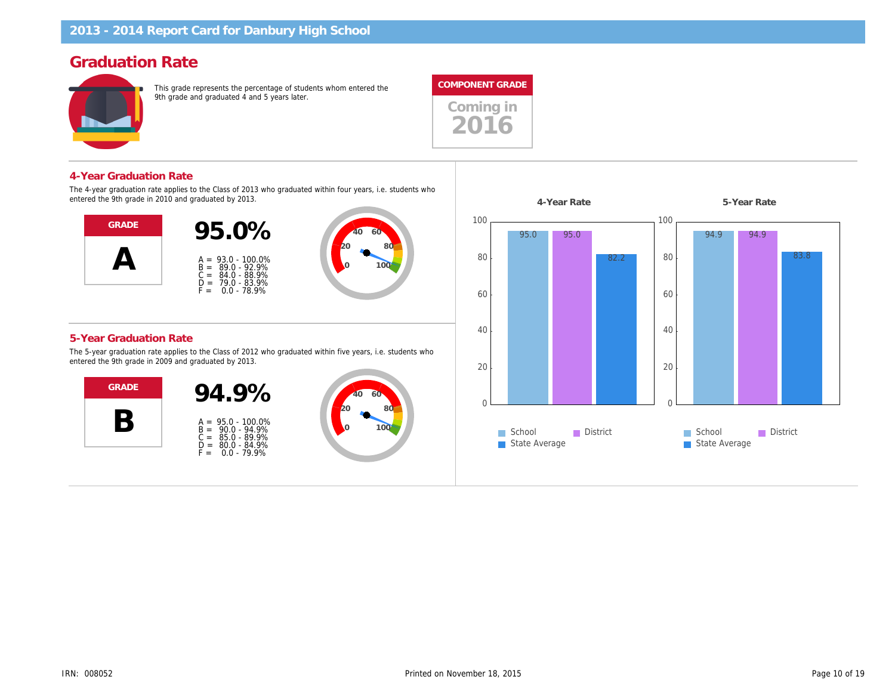### Graduation Rate

This grade represents the percentage of students whom entered the 9th grade and graduated 4 and 5 years later.



#### 4-Year Graduation Rate

The 4-year graduation rate applies to the Class of 2013 who graduated within four years, i.e. students who entered the 9th grade in 2010 and graduated by 2013.



#### 5-Year Graduation Rate

The 5-year graduation rate applies to the Class of 2012 who graduated within five years, i.e. students who entered the 9th grade in 2009 and graduated by 2013.



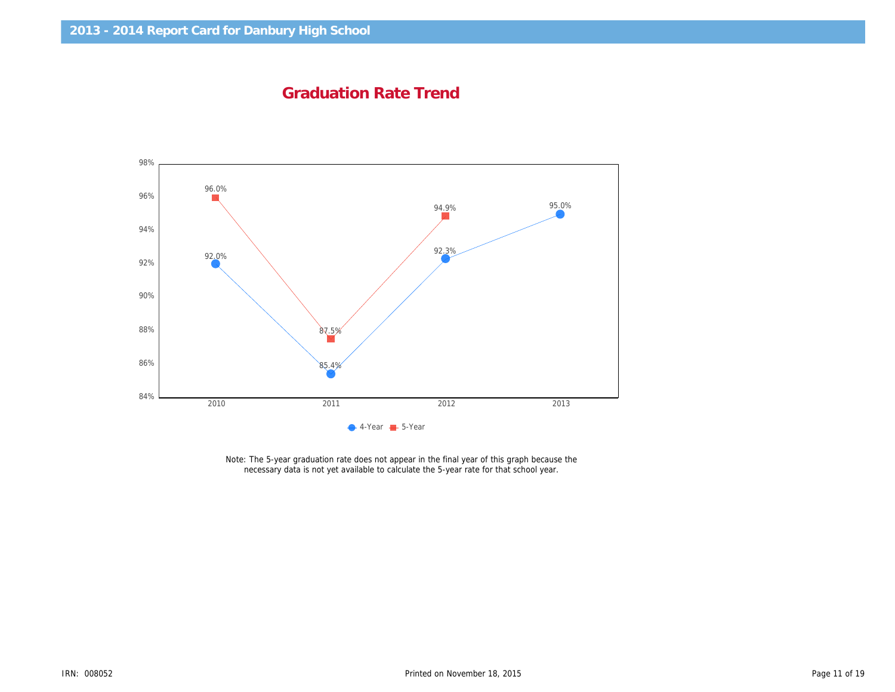Graduation Rate Trend

Note: The 5-year graduation rate does not appear in the final year of this graph because the necessary data is not yet available to calculate the 5-year rate for that school year.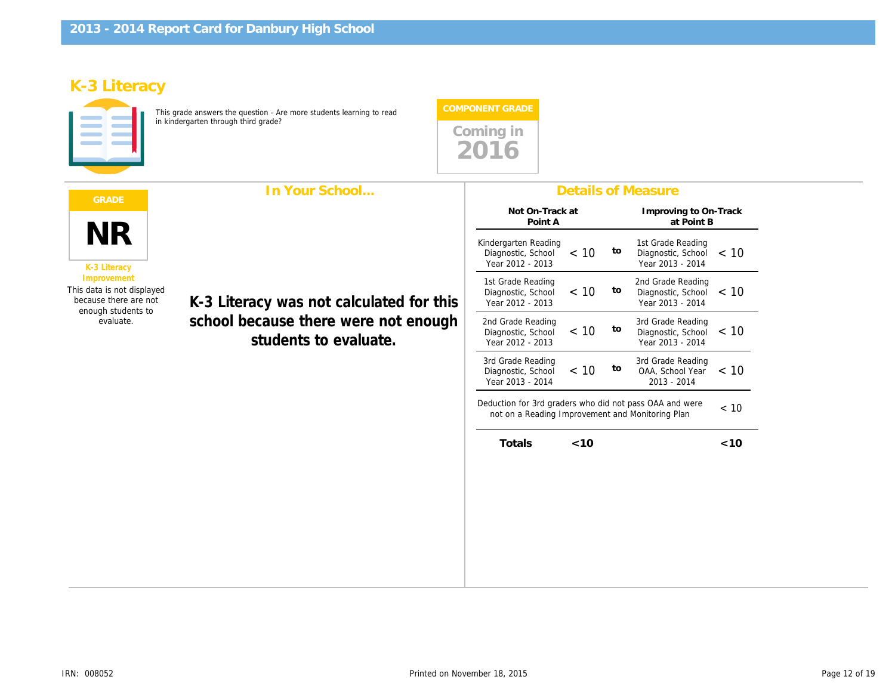# K-3 Literacy

This grade answers the question - Are more students learning to read in kindergarten through third grade?



|                                                                                                                                    | In Your School                                                                                            |                                                                                                           |        |    | <b>Details of Measure</b>                        |
|------------------------------------------------------------------------------------------------------------------------------------|-----------------------------------------------------------------------------------------------------------|-----------------------------------------------------------------------------------------------------------|--------|----|--------------------------------------------------|
| <b>NR</b><br>K-3 Literacy<br>Improvement<br>This data is not displayed<br>because there are not<br>enough students to<br>evaluate. |                                                                                                           | Not On-Track at<br>Point A                                                                                |        |    | Improving to<br>at Poi                           |
|                                                                                                                                    |                                                                                                           | Kindergarten Reading<br>Diagnostic, School<br>Year 2012 - 2013                                            | < 10   | to | 1st Grade Rea<br>Diagnostic, So<br>Year 2013 - 2 |
|                                                                                                                                    | K-3 Literacy was not calculated for this<br>school because there were not enough<br>students to evaluate. | 1st Grade Reading<br>Diagnostic, School<br>Year 2012 - 2013                                               | < 10   | to | 2nd Grade Rea<br>Diagnostic, So<br>Year 2013 - 2 |
|                                                                                                                                    |                                                                                                           | 2nd Grade Reading<br>Diagnostic, School<br>Year 2012 - 2013                                               | < 10   | to | 3rd Grade Rea<br>Diagnostic, So<br>Year 2013 - 2 |
|                                                                                                                                    |                                                                                                           | 3rd Grade Reading<br>Diagnostic, School<br>Year 2013 - 2014                                               | < 10   | to | 3rd Grade Rea<br>OAA, School<br>$2013 - 201$     |
|                                                                                                                                    |                                                                                                           | Deduction for 3rd graders who did not pass OAA and we<br>not on a Reading Improvement and Monitoring Plan |        |    |                                                  |
|                                                                                                                                    |                                                                                                           | Totals                                                                                                    | $<$ 10 |    |                                                  |
|                                                                                                                                    |                                                                                                           |                                                                                                           |        |    |                                                  |
|                                                                                                                                    |                                                                                                           |                                                                                                           |        |    |                                                  |
|                                                                                                                                    |                                                                                                           |                                                                                                           |        |    |                                                  |
|                                                                                                                                    |                                                                                                           |                                                                                                           |        |    |                                                  |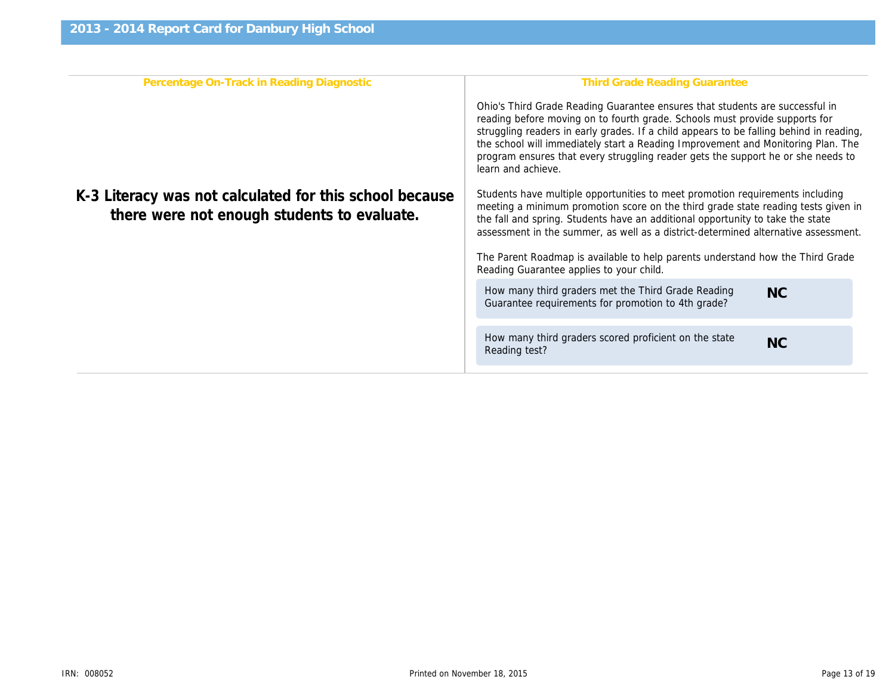| Percentage On-Track in Reading Diagnostic<br>K-3 Literacy was not calculated for this school because<br>there were not enough students to evaluate. | <b>Third Grade Reading Gr</b><br>Ohio's Third Grade Reading Guarantee ensure<br>reading before moving on to fourth grade. Scho<br>struggling readers in early grades. If a child ap<br>the school will immediately start a Reading Imp<br>program ensures that every struggling reader of<br>learn and achieve.<br>Students have multiple opportunities to meet p<br>meeting a minimum promotion score on the thi<br>the fall and spring. Students have an additional<br>assessment in the summer, as well as a distric<br>The Parent Roadmap is available to help parer<br>Reading Guarantee applies to your child.<br>How many third graders met the Third Grade |
|-----------------------------------------------------------------------------------------------------------------------------------------------------|--------------------------------------------------------------------------------------------------------------------------------------------------------------------------------------------------------------------------------------------------------------------------------------------------------------------------------------------------------------------------------------------------------------------------------------------------------------------------------------------------------------------------------------------------------------------------------------------------------------------------------------------------------------------|
|                                                                                                                                                     |                                                                                                                                                                                                                                                                                                                                                                                                                                                                                                                                                                                                                                                                    |
|                                                                                                                                                     | Guarantee requirements for promotion to 4th                                                                                                                                                                                                                                                                                                                                                                                                                                                                                                                                                                                                                        |
|                                                                                                                                                     | How many third graders scored proficient on<br>Reading test?                                                                                                                                                                                                                                                                                                                                                                                                                                                                                                                                                                                                       |
|                                                                                                                                                     |                                                                                                                                                                                                                                                                                                                                                                                                                                                                                                                                                                                                                                                                    |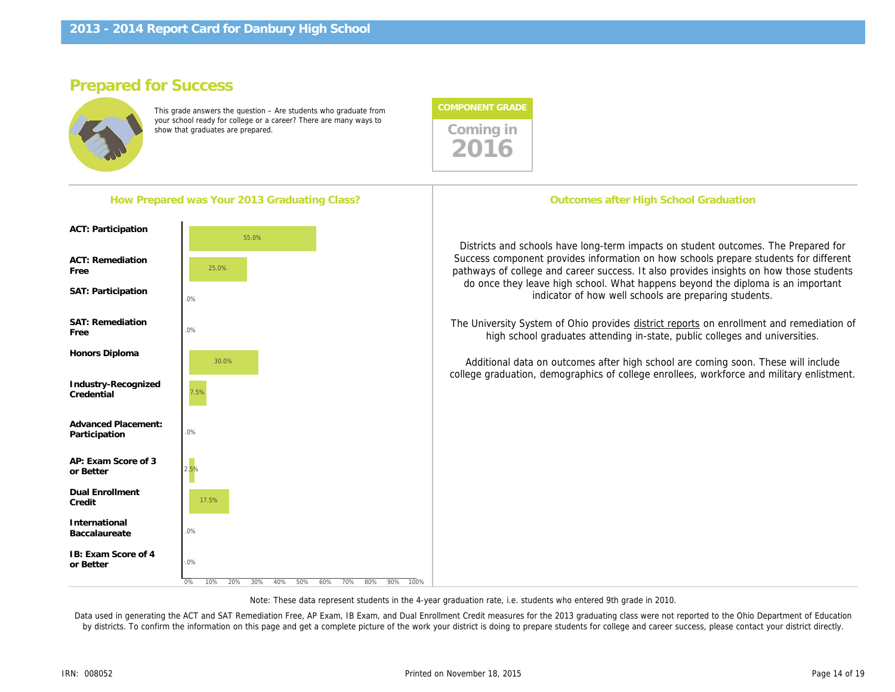### Prepared for Success

This grade answers the question – Are students who graduate from your school ready for college or a career? There are many ways to your school ready for college or a career  $\epsilon$  i nere are many ways to show that graduates are prepared.



| Districts and schools have long-term impacts on stu<br>Success component provides information on how sc<br>pathways of college and career success. It also prov<br>do once they leave high school. What happens be<br>indicator of how well schools are pr<br>The University System of Ohio provides district report<br>high school graduates attending in-state, pub<br>Additional data on outcomes after high school are<br>college graduation, demographics of college enrollee | How Prepared was Your 2013 Graduating Class?          | Outcomes after High School Gr |
|------------------------------------------------------------------------------------------------------------------------------------------------------------------------------------------------------------------------------------------------------------------------------------------------------------------------------------------------------------------------------------------------------------------------------------------------------------------------------------|-------------------------------------------------------|-------------------------------|
|                                                                                                                                                                                                                                                                                                                                                                                                                                                                                    | <b>ACT: Participation</b>                             |                               |
|                                                                                                                                                                                                                                                                                                                                                                                                                                                                                    | <b>ACT: Remediation</b><br>Free<br>SAT: Participation |                               |
|                                                                                                                                                                                                                                                                                                                                                                                                                                                                                    | <b>SAT: Remediation</b><br>Free                       |                               |
|                                                                                                                                                                                                                                                                                                                                                                                                                                                                                    | Honors Diploma<br>Industry-Recognized<br>Credential   |                               |
|                                                                                                                                                                                                                                                                                                                                                                                                                                                                                    | Advanced Placement:<br>Participation                  |                               |
|                                                                                                                                                                                                                                                                                                                                                                                                                                                                                    | AP: Exam Score of 3<br>or Better                      |                               |
|                                                                                                                                                                                                                                                                                                                                                                                                                                                                                    | <b>Dual Enrollment</b><br>Credit                      |                               |
|                                                                                                                                                                                                                                                                                                                                                                                                                                                                                    | International<br>Baccalaureate                        |                               |
|                                                                                                                                                                                                                                                                                                                                                                                                                                                                                    | IB: Exam Score of 4<br>or Better                      |                               |

Note: These data represent students in the 4-year graduation rate, i.e. students who entered 9th grade in 2010.

Data used in generating the ACT and SAT Remediation Free, AP Exam, IB Exam, and Dual Enrollment Credit measures for the 2013 graduating class were not re by districts. To confirm the information on this page and get a complete picture of the work your district is doing to prepare students for college and career succes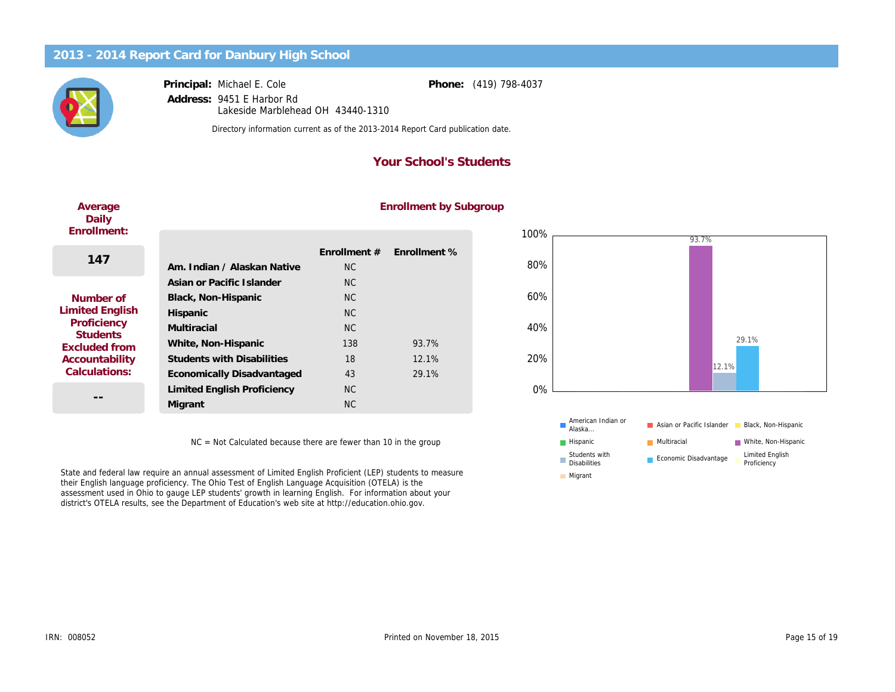Principal: Address: Michael E. Cole 9451 E Harbor Rd Lakeside Marblehead OH 43440-1310 Phone: (419) 798-4037

Directory information current as of the 2013-2014 Report Card publication date.

#### Your School's Students

## Average Daily Enrollment:  $14$

#### Numb **Limited B** Profici Stude Exclude Account Calcula

#### Enrollment by Subgroup

| 47                         |                                    | Enrollment # | Enrollment % |
|----------------------------|------------------------------------|--------------|--------------|
|                            | Am. Indian / Alaskan Native        | <b>NC</b>    |              |
|                            | Asian or Pacific Islander          | <b>NC</b>    |              |
| ber of                     | Black, Non-Hispanic                | <b>NC</b>    |              |
| English<br>ciency<br>dents | Hispanic                           | <b>NC</b>    |              |
|                            | Multiracial                        | <b>NC</b>    |              |
| ed from                    | White, Non-Hispanic                | 138          | 93.7%        |
| <b>ntability</b>           | <b>Students with Disabilities</b>  | 18           | 12.1%        |
| ations:                    | <b>Economically Disadvantaged</b>  | 43           | 29.1%        |
|                            | <b>Limited English Proficiency</b> | <b>NC</b>    |              |
| --                         | Migrant                            | <b>NC</b>    |              |
|                            |                                    |              |              |

NC = Not Calculated because there are fewer than 10 in the group

State and federal law require an annual assessment of Limited English Proficient (LEP) students to measure their English language proficiency. The Ohio Test of English Language Acquisition (OTELA) is the assessment used in Ohio to gauge LEP students' growth in learning English. For information about your district's OTELA results, see the Department of Education's web site at http://education.ohio.gov.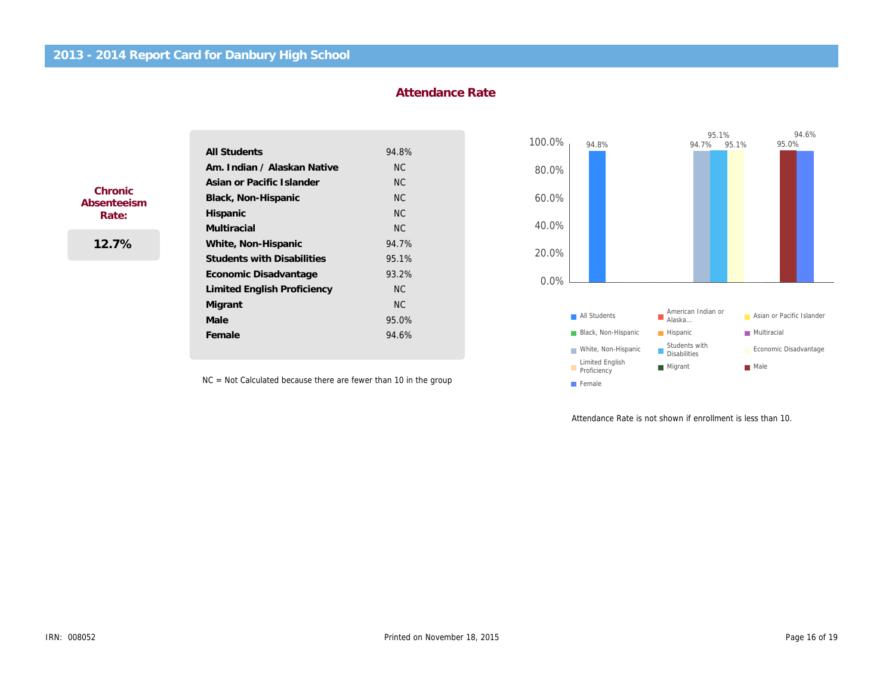#### Attendance Rate

|             | <b>All Students</b>                | 94.8%     |
|-------------|------------------------------------|-----------|
|             | Am. Indian / Alaskan Native        | <b>NC</b> |
| Chronic     | Asian or Pacific Islander          | <b>NC</b> |
| Absenteeism | Black, Non-Hispanic                | <b>NC</b> |
| Rate:       | Hispanic                           | <b>NC</b> |
|             | <b>Multiracial</b>                 | <b>NC</b> |
| 12.7%       | White, Non-Hispanic                | 94.7%     |
|             | <b>Students with Disabilities</b>  | 95.1%     |
|             | Economic Disadvantage              | 93.2%     |
|             | <b>Limited English Proficiency</b> | NC.       |
|             | Migrant                            | <b>NC</b> |
|             | Male                               | 95.0%     |
|             | Female                             | 94.6%     |

NC = Not Calculated because there are fewer than 10 in the group

Attendance Rate is not shown if

ļ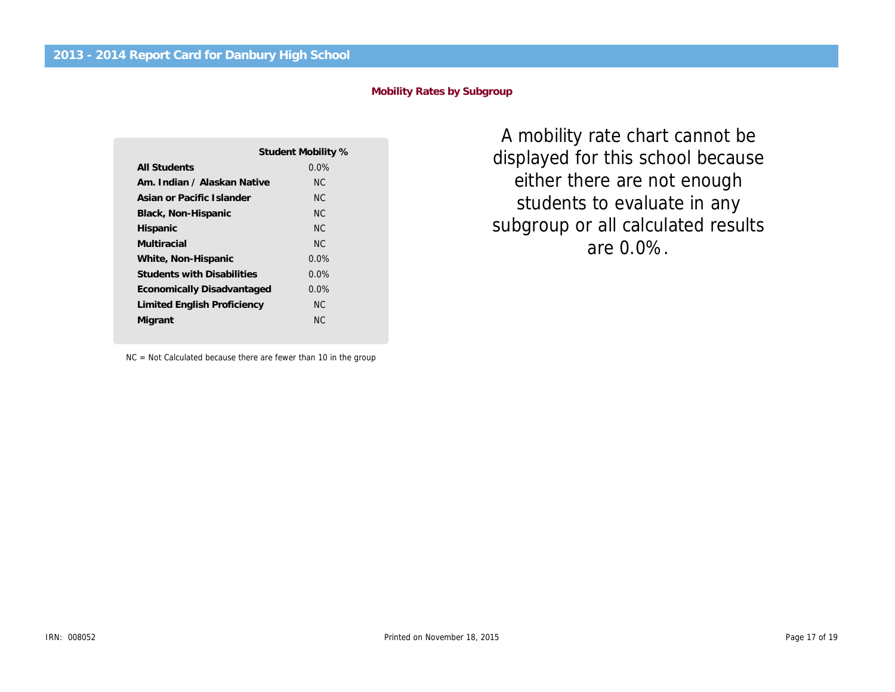#### Mobility Rates by Subgroup

|                                   | Student Mobility % |
|-----------------------------------|--------------------|
| All Students                      | $0.0\%$            |
| Am. Indian / Alaskan Native       | NC.                |
| Asian or Pacific Islander         | NC.                |
| Black, Non-Hispanic               | NC.                |
| Hispanic                          | NC.                |
| Multiracial                       | NC.                |
| White, Non-Hispanic               | $0.0\%$            |
| <b>Students with Disabilities</b> | $0.0\%$            |
| Economically Disadvantaged        | $0.0\%$            |
| Limited English Proficiency       | NC.                |
| Migrant                           | NC.                |
|                                   |                    |

NC = Not Calculated because there are fewer than 10 in the group

A mobility rate chart ca displayed for this school either there are not en students to evaluate i subgroup or all calculate are 0.0%.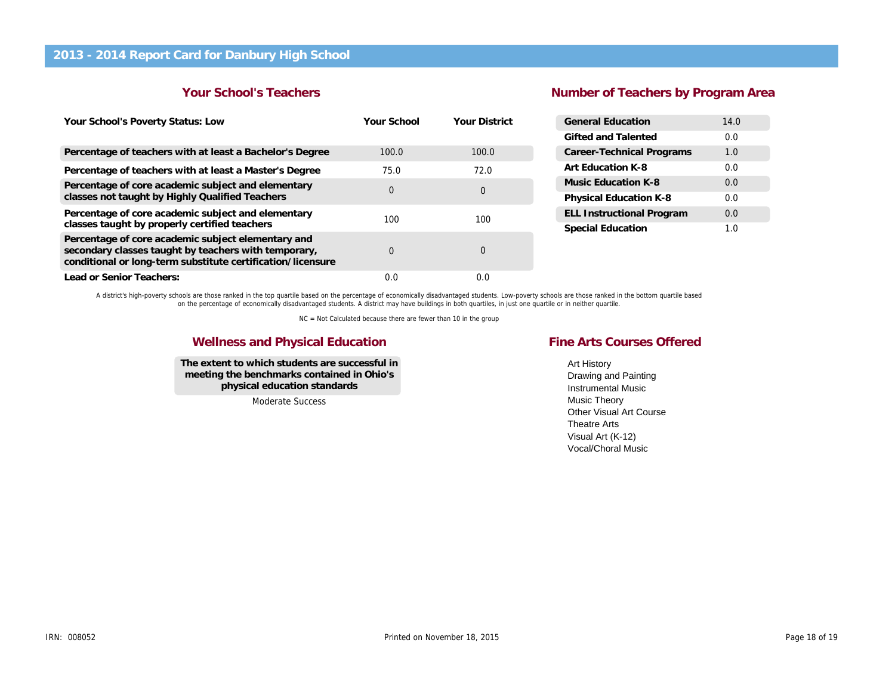#### Your School's Teachers

### Number of Teachers by Pr

| Your School's Poverty Status: Low                                                                                                                                         | Your School | <b>Your District</b> | <b>General Education</b>         |
|---------------------------------------------------------------------------------------------------------------------------------------------------------------------------|-------------|----------------------|----------------------------------|
|                                                                                                                                                                           |             |                      | Gifted and Talented              |
| Percentage of teachers with at least a Bachelor's Degree                                                                                                                  | 100.0       | 100.0                | <b>Career-Technical Programs</b> |
| Percentage of teachers with at least a Master's Degree                                                                                                                    | 75.0        | 72.0                 | Art Education K-8                |
| Percentage of core academic subject and elementary                                                                                                                        | 0           | 0                    | Music Education K-8              |
| classes not taught by Highly Qualified Teachers                                                                                                                           |             |                      | Physical Education K-8           |
| Percentage of core academic subject and elementary                                                                                                                        | 100         | 100                  | <b>ELL Instructional Program</b> |
| classes taught by properly certified teachers                                                                                                                             |             |                      | <b>Special Education</b>         |
| Percentage of core academic subject elementary and<br>secondary classes taught by teachers with temporary,<br>conditional or long-term substitute certification/licensure | 0           | 0                    |                                  |
| Lead or Senior Teachers:                                                                                                                                                  | 0.0         | 0.0                  |                                  |

A district's high-poverty schools are those ranked in the top quartile based on the percentage of economically disadvantaged students. Low-poverty schools are those ranked in the bottom quartile bas<br>on the percentage of ec

NC = Not Calculated because there are fewer than 10 in the group

#### Wellness and Physical Education

The extent to which students are successful in meeting the benchmarks contained in Ohio's physical education standards

Moderate Success

#### Fine Arts Courses Offered

Art History Drawing and Painting Instrumental Music Music Theory Other Visual Art Course Theatre Arts Visual Art (K-12) Vocal/Choral Music